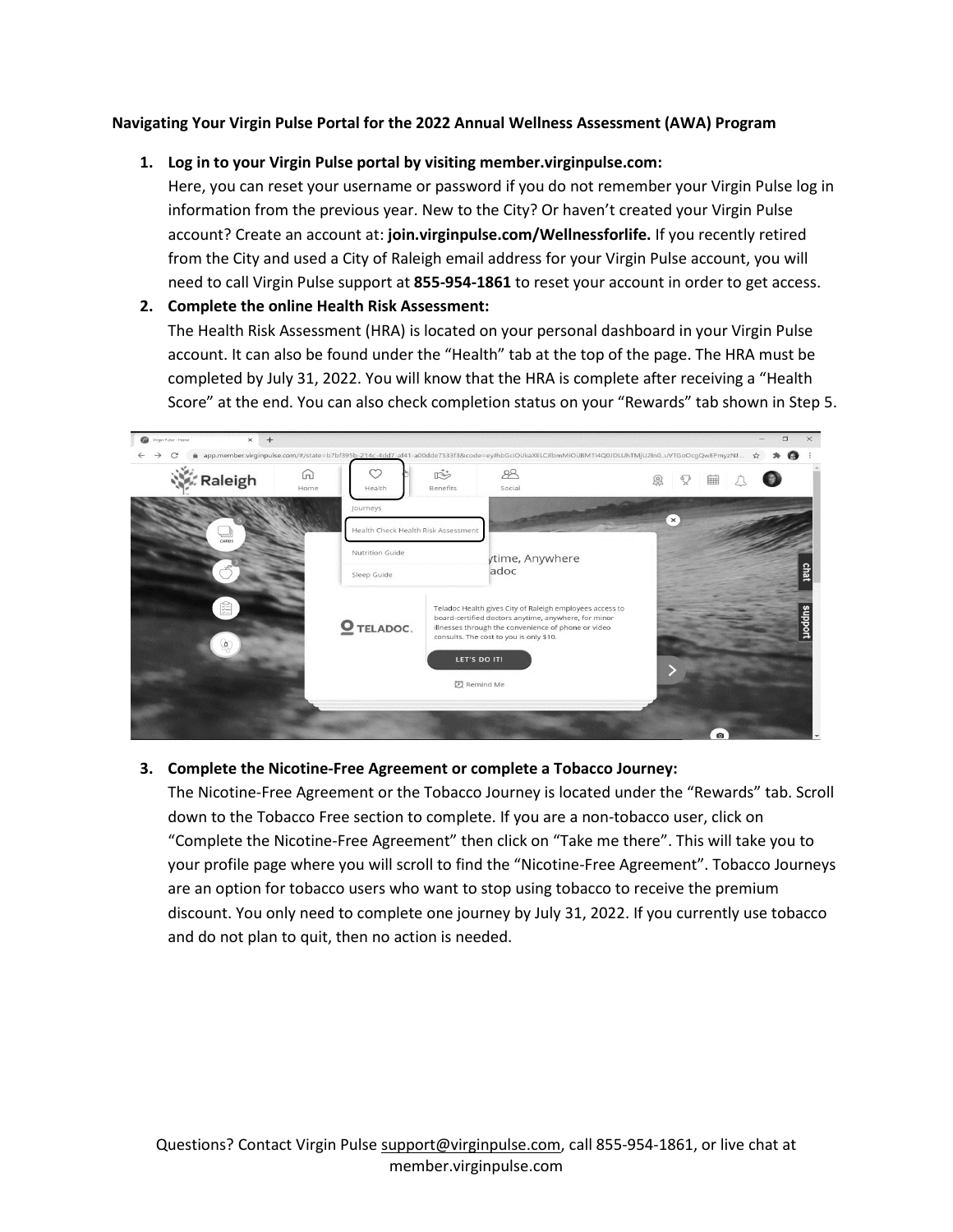## **Navigating Your Virgin Pulse Portal for the 2022 Annual Wellness Assessment (AWA) Program**

## **1. Log in to your Virgin Pulse portal by visiting member.virginpulse.com:**

Here, you can reset your username or password if you do not remember your Virgin Pulse log in information from the previous year. New to the City? Or haven't created your Virgin Pulse account? Create an account at: **join.virginpulse.com/Wellnessforlife.** If you recently retired from the City and used a City of Raleigh email address for your Virgin Pulse account, you will need to call Virgin Pulse support at **855-954-1861** to reset your account in order to get access.

## **2. Complete the online Health Risk Assessment:**

The Health Risk Assessment (HRA) is located on your personal dashboard in your Virgin Pulse account. It can also be found under the "Health" tab at the top of the page. The HRA must be completed by July 31, 2022. You will know that the HRA is complete after receiving a "Health Score" at the end. You can also check completion status on your "Rewards" tab shown in Step 5.

| Virgin Pulse - Home<br>$\times$<br>$+$ |           |                                     |               |                                                                                                                                                                                                                                    | $\Box$            |
|----------------------------------------|-----------|-------------------------------------|---------------|------------------------------------------------------------------------------------------------------------------------------------------------------------------------------------------------------------------------------------|-------------------|
|                                        |           |                                     |               | app.member.virginpulse.com/#/state=b7bf395b-214c-4dd7-af41-a00dde7533f3&code=eyJhbGciOiJkaXliLCJlbmMiOiJBMTI4Q0JDLUhTMjU2In0uVTGoOcgQwEPmyzNJ                                                                                      | o<br>$\mathbf{x}$ |
| Raleigh                                | 冚<br>Home | Health                              | 哒<br>Benefits | 88<br>Social                                                                                                                                                                                                                       | Ç<br>恖<br>睡       |
|                                        |           | Journeys                            |               |                                                                                                                                                                                                                                    | $\times$          |
| CARDS                                  |           | Health Check Health Risk Assessment |               |                                                                                                                                                                                                                                    |                   |
|                                        |           | Nutrition Guide                     |               | ytime, Anywhere                                                                                                                                                                                                                    |                   |
|                                        |           | Sleep Guide                         |               | adoc                                                                                                                                                                                                                               | cha               |
| 图<br>99                                |           | O TELADOC.                          |               | Teladoc Health gives City of Raleigh employees access to<br>board-certified doctors anytime, anywhere, for minor<br>illnesses through the convenience of phone or video<br>consults. The cost to you is only \$10.<br>LET'S DO IT! | puoddns           |
|                                        |           |                                     |               | (2) Remind Me                                                                                                                                                                                                                      |                   |
|                                        |           |                                     |               |                                                                                                                                                                                                                                    | $\bullet$         |

# **3. Complete the Nicotine-Free Agreement or complete a Tobacco Journey:**

The Nicotine-Free Agreement or the Tobacco Journey is located under the "Rewards" tab. Scroll down to the Tobacco Free section to complete. If you are a non-tobacco user, click on "Complete the Nicotine-Free Agreement" then click on "Take me there". This will take you to your profile page where you will scroll to find the "Nicotine-Free Agreement". Tobacco Journeys are an option for tobacco users who want to stop using tobacco to receive the premium discount. You only need to complete one journey by July 31, 2022. If you currently use tobacco and do not plan to quit, then no action is needed.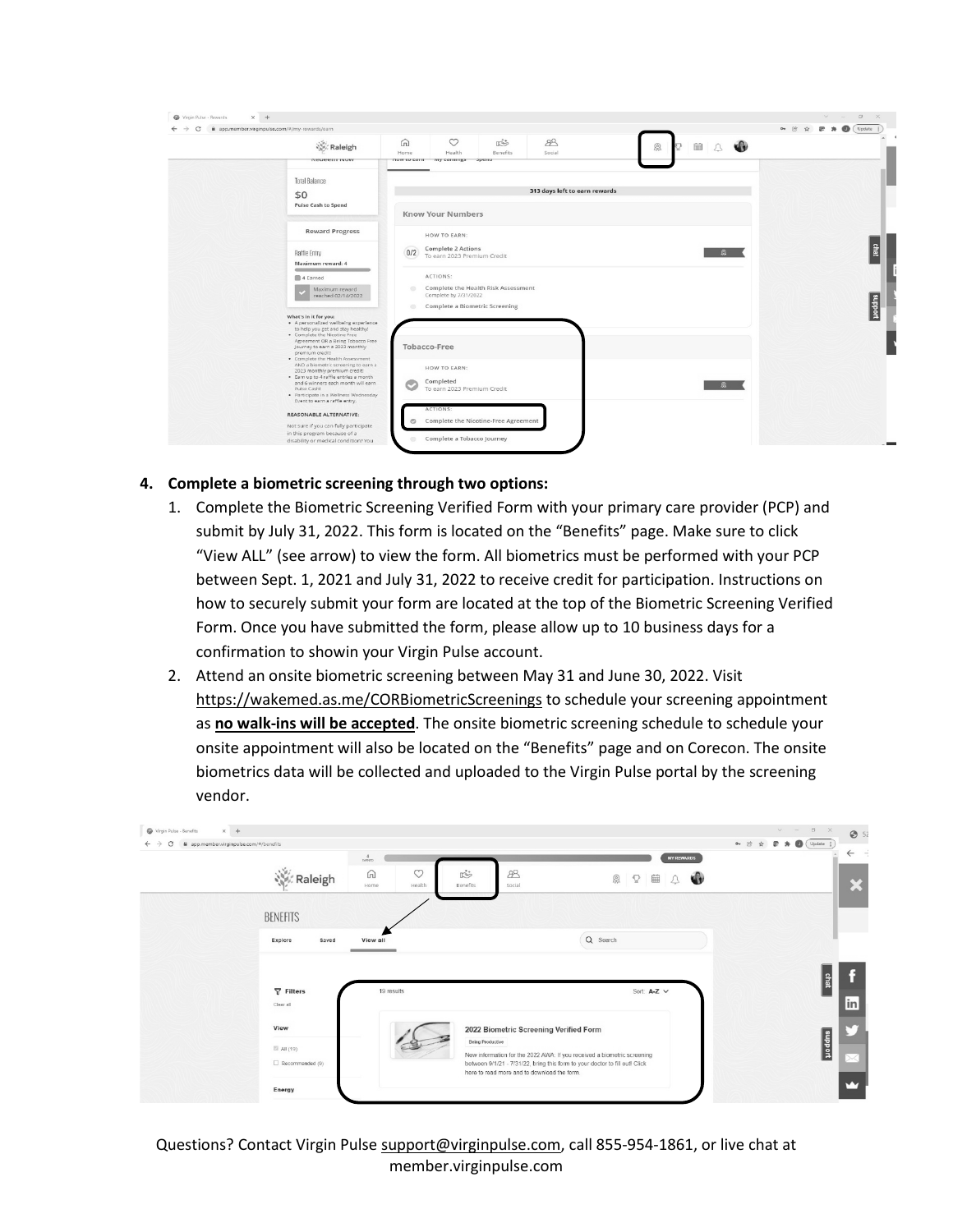| @ app.member.virginpulse.com/#/my-rewards/earn |                                                                                                             |                          |                                         |                                      |                               |   |         | or ④ ☆ 雷 ★ ● (Update i) |
|------------------------------------------------|-------------------------------------------------------------------------------------------------------------|--------------------------|-----------------------------------------|--------------------------------------|-------------------------------|---|---------|-------------------------|
|                                                | Raleigh<br><b>REGEEIT INOW</b>                                                                              | ⋒<br>Home<br>now to carn | $\circ$<br>Health<br>wry carrings spenu | <b>必</b><br>Benefits                 | 88<br>Social                  | 象 | AO<br>■ |                         |
|                                                |                                                                                                             |                          |                                         |                                      |                               |   |         |                         |
| <b>Total Balance</b>                           |                                                                                                             |                          |                                         |                                      | 313 days left to earn rewards |   |         |                         |
| \$0                                            | Pulse Cash to Spend                                                                                         |                          |                                         |                                      |                               |   |         |                         |
|                                                |                                                                                                             |                          | <b>Know Your Numbers</b>                |                                      |                               |   |         |                         |
|                                                | <b>Reward Progress</b>                                                                                      |                          | HOW TO EARN:                            |                                      |                               |   |         |                         |
| Raffle Entry                                   |                                                                                                             | 0/2                      | <b>Complete 2 Actions</b>               |                                      |                               |   | 魚       |                         |
|                                                | Maximum reward: 4                                                                                           |                          | To earn 2023 Premium Credit             |                                      |                               |   |         |                         |
| 4 Earned                                       |                                                                                                             |                          | ACTIONS:                                |                                      |                               |   |         |                         |
|                                                | Maximum reward<br>reached 02/14/2022                                                                        | $\circ$                  | Complete by 7/31/2022                   | Complete the Health Risk Assessment  |                               |   |         |                         |
|                                                |                                                                                                             | $\circ$                  | Complete a Biometric Screening          |                                      |                               |   |         |                         |
| What's in it for you:                          | · A personalized wellbeing experience                                                                       |                          |                                         |                                      |                               |   |         |                         |
|                                                | to help you get and stay healthy!<br>· Complete the Nicotine Free<br>Agreement OR a Being Tobacco Free      |                          |                                         |                                      |                               |   |         |                         |
| premium crediti                                | Journey to earn a 2023 monthly                                                                              | Tobacco-Free             |                                         |                                      |                               |   |         |                         |
|                                                | . Complete the Health Assessment<br>AND a biometric screening to earn a                                     |                          | HOW TO EARN:                            |                                      |                               |   |         |                         |
|                                                | 2023 monthly premium credit!<br>. Earn up to 4 raffle entries a month<br>and 6 winners each month will earn |                          | Completed                               |                                      |                               |   |         |                         |
| Pulse Cash!                                    | · Participate in a Wellness Wednesday                                                                       |                          | To earn 2023 Premium Credit             |                                      |                               |   |         |                         |
|                                                | Event to earn a raffle entry.                                                                               |                          | ACTIONS:                                |                                      |                               |   |         |                         |
|                                                | <b>REASONABLE ALTERNATIVE:</b><br>Not sure if you can fully participate                                     | $\circ$                  |                                         | Complete the Nicotine-Free Agreement |                               |   |         |                         |
|                                                | in this program because of a<br>disability or medical condition? You                                        | $\circ$                  | Complete a Tobacco Journey              |                                      |                               |   |         |                         |

# **4. Complete a biometric screening through two options:**

- 1. Complete the Biometric Screening Verified Form with your primary care provider (PCP) and submit by July 31, 2022. This form is located on the "Benefits" page. Make sure to click "View ALL" (see arrow) to view the form. All biometrics must be performed with your PCP between Sept. 1, 2021 and July 31, 2022 to receive credit for participation. Instructions on how to securely submit your form are located at the top of the Biometric Screening Verified Form. Once you have submitted the form, please allow up to 10 business days for a confirmation to showin your Virgin Pulse account.
- 2. Attend an onsite biometric screening between May 31 and June 30, 2022. Visit <https://wakemed.as.me/CORBiometricScreenings> to schedule your screening appointment as **no walk-ins will be accepted**. The onsite biometric screening schedule to schedule your onsite appointment will also be located on the "Benefits" page and on Corecon. The onsite biometrics data will be collected and uploaded to the Virgin Pulse portal by the screening vendor.

| @ app.member.virginpulse.com/#/benefits<br>C |                                |                                                                                                                                                        |                             | $\mathbb{R}$ $\mathbb{A}$ $\bigoplus$ $\big(\text{Update}$ :<br>$O_T$ (c) |
|----------------------------------------------|--------------------------------|--------------------------------------------------------------------------------------------------------------------------------------------------------|-----------------------------|---------------------------------------------------------------------------|
|                                              | $\frac{4}{\text{coup}}$        |                                                                                                                                                        | <b>MY REWARDS</b>           |                                                                           |
| Raleigh                                      | $\circ$<br>⋒<br>Home<br>Health | $\mathbb{R}^2$<br>88<br>Benefits<br>Social                                                                                                             | 40<br>恩<br>■<br>$\mathbb Q$ |                                                                           |
|                                              |                                |                                                                                                                                                        |                             |                                                                           |
| <b>BENEFITS</b>                              |                                |                                                                                                                                                        |                             |                                                                           |
| Explore<br>Saved                             | View all                       |                                                                                                                                                        | Q Search                    |                                                                           |
|                                              |                                |                                                                                                                                                        |                             |                                                                           |
|                                              |                                |                                                                                                                                                        |                             |                                                                           |
|                                              |                                |                                                                                                                                                        |                             |                                                                           |
| $\nabla$ Filters                             | 19 results                     |                                                                                                                                                        | Sort: A-Z V                 | <sup>chat</sup>                                                           |
| Clear all                                    |                                |                                                                                                                                                        |                             |                                                                           |
| View                                         |                                | 2022 Biometric Screening Verified Form                                                                                                                 |                             |                                                                           |
| ■ All (19)                                   |                                | Being Productive                                                                                                                                       |                             |                                                                           |
| $\Box$ Recommended (9)                       |                                | New information for the 2022 AWA: If you received a biometric screening<br>between 9/1/21 - 7/31/22, bring this form to your doctor to fill out! Click |                             | poddns                                                                    |
|                                              |                                | here to read more and to download the form.                                                                                                            |                             |                                                                           |

Questions? Contact Virgin Pulse [support@virginpulse.com,](mailto:support@virginpulse.com) call 855-954-1861, or live chat at member.virginpulse.com